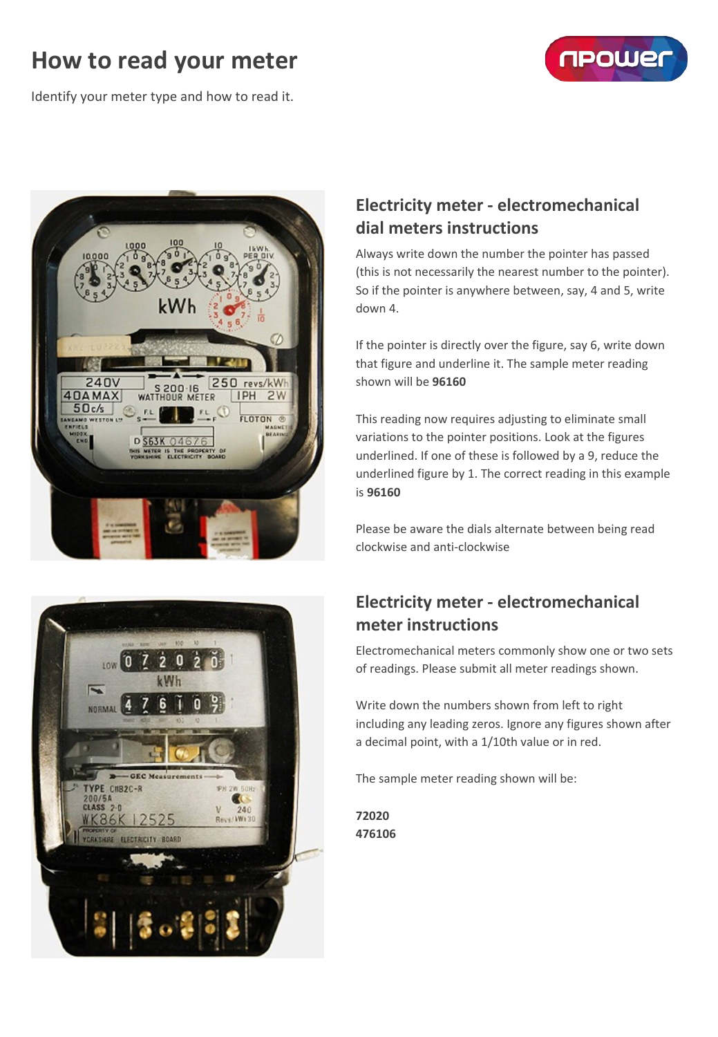# **How to read your meter**



Identify your meter type and how to read it.





## **Electricity meter - electromechanical dial meters instructions**

Always write down the number the pointer has passed (this is not necessarily the nearest number to the pointer). So if the pointer is anywhere between, say, 4 and 5, write down 4.

If the pointer is directly over the figure, say 6, write down that figure and underline it. The sample meter reading shown will be **96160**

This reading now requires adjusting to eliminate small variations to the pointer positions. Look at the figures underlined. If one of these is followed by a 9, reduce the underlined figure by 1. The correct reading in this example is **96160**

Please be aware the dials alternate between being read clockwise and anti-clockwise

### **Electricity meter - electromechanical meter instructions**

Electromechanical meters commonly show one or two sets of readings. Please submit all meter readings shown.

Write down the numbers shown from left to right including any leading zeros. Ignore any figures shown after a decimal point, with a 1/10th value or in red.

The sample meter reading shown will be:

**72020 476106**